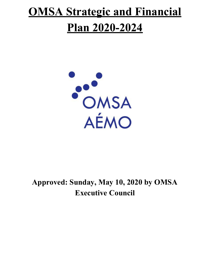# **OMSA Strategic and Financial Plan 2020-2024**



### **Approved: Sunday, May 10, 2020 by OMSA Executive Council**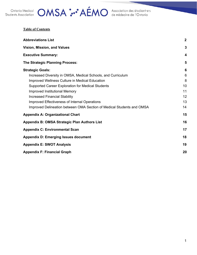

## Ontario Medical **OMSA :..** AÉMO Association des étudiant e's

|  | <b>Table of Contents</b> |
|--|--------------------------|
|  |                          |

| <b>Abbreviations List</b>                                             | $\boldsymbol{2}$ |
|-----------------------------------------------------------------------|------------------|
| Vision, Mission, and Values                                           | 3                |
| <b>Executive Summary:</b>                                             | 4                |
| <b>The Strategic Planning Process:</b>                                | 5                |
| <b>Strategic Goals:</b>                                               | 6                |
| Increased Diversity in OMSA, Medical Schools, and Curriculum          | 6                |
| Improved Wellness Culture in Medical Education                        | 8                |
| Supported Career Exploration for Medical Students                     | 10               |
| <b>Improved Institutional Memory</b>                                  | 11               |
| <b>Increased Financial Stability</b>                                  | 12               |
| Improved Effectiveness of Internal Operations                         | 13               |
| Improved Delineation between OMA Section of Medical Students and OMSA | 14               |
| <b>Appendix A: Organizational Chart</b>                               | 15               |
| Appendix B: OMSA Strategic Plan Authors List                          | 16               |
| <b>Appendix C: Environmental Scan</b>                                 | 17               |
| <b>Appendix D: Emerging Issues document</b>                           | 18               |
| <b>Appendix E: SWOT Analysis</b>                                      | 19               |
| <b>Appendix F: Financial Graph</b>                                    | 20               |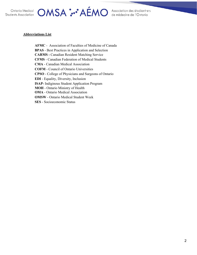

### OMSA :<sup>..</sup> AÉMO Association des étudiantes

#### <span id="page-2-0"></span>**Abbreviations List**

**AFMC** - Association of Faculties of Medicine of Canada **BPAS** - Best Practices in Application and Selection **CARMS -** Canadian Resident Matching Service **CFMS** - Canadian Federation of Medical Students **CMA** - Canadian Medical Association **COFM** - Council of Ontario Universities **CPSO** - College of Physicians and Surgeons of Ontario **EDI** - Equality, Diversity, Inclusion **ISAP-** Indiginous Student Application Program **MOH** - Ontario Ministry of Health **OMA** - Ontario Medical Association **OMSW** - Ontario Medical Student Week **SES** - Socioeconomic Status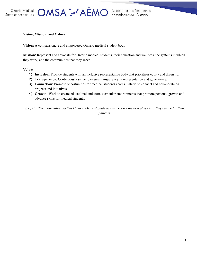OMSA : AÉMO Association des étudiantes

#### <span id="page-3-0"></span>**Vision, Mission, and Values**

**Vision:** A compassionate and empowered Ontario medical student body

**Mission:** Represent and advocate for Ontario medical students, their education and wellness, the systems in which they work, and the communities that they serve

**Values:**

- 1) **Inclusion:** Provide students with an inclusive representative body that prioritizes equity and diversity.
- 2) **Transparency:** Continuously strive to ensure transparency in representation and governance.
- 3) **Connection:** Promote opportunities for medical students across Ontario to connect and collaborate on projects and initiatives.
- 4) **Growth:** Work to create educational and extra-curricular environments that promote personal growth and advance skills for medical students.

We prioritize these values so that Ontario Medical Students can become the best physicians they can be for their *patients.*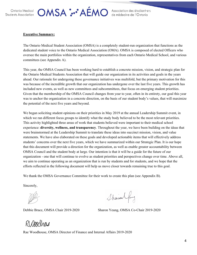### OMSA : AÉMO Association des étudiantes

#### <span id="page-4-0"></span>**Executive Summary:**

The Ontario Medical Student Association (OMSA) is a completely student-run organization that functions as the dedicated student voice to the Ontario Medical Association (OMA). OMSA is composed of elected Officers who oversee the main portfolios within the organization, representatives from each Ontario Medical School, and various committees (see Appendix A).

This year, the OMSA Council has been working hard to establish a concrete mission, vision, and strategic plan for the Ontario Medical Students Association that will guide our organization in its activities and goals in the years ahead. Our rationale for undergoing these governance initiatives was multifold, but the primary motivation for this was because of the incredible growth that our organization has undergone over the last five years. This growth has included new events, as well as new committees and subcommittees, that focus on emerging student priorities. Given that the membership of the OMSA Council changes from year to year, often in its entirety, our goal this year was to anchor the organization in a concrete direction, on the basis of our student body's values, that will maximize the potential of the next five years and beyond.

We began soliciting student opinions on their priorities in May 2019 at the annual Leadership Summit event, in which we ran different focus groups to identify what the study body believed to be the most relevant priorities. This activity highlighted three areas of work that students believed were important to their medical school experience: **diversity, wellness, and transparency**. Throughout the year, we have been building on the ideas that were brainstormed at the Leadership Summit to translate these ideas into succinct mission, vision, and value statements. We have also elaborated on these goals and developed actionable items that will effectively address students' concerns over the next five years, which we have summarized within our Strategic Plan. It is our hope that this document will provide a direction for the organization, as well as enable greater accountability between OMSA Council and the student body at large. Our intention is that it will be a guide for the future of our organization - one that will continue to evolve as student priorities and perspectives change over time. Above all, we aim to continue operating as an organization that is run by students and for students, and we hope that the efforts reflected in the following document will help us move closer towards remaining true to this goal.

We thank the OMSA Governance Committee for their work to create this plan (see Appendix B).

Sincerely,

Sharion Jung

Debbie Brace, OMSA Chair 2019-2020 Sharon Yeung, OMSA Co-Chair 2019-2020

RUGOoghag

Rae Woodhouse, OMSA Director of Finance and Internal Affairs 2019-2020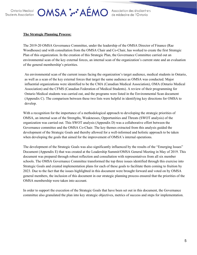### OMSA : AÉMO Association des étudiantes

#### <span id="page-5-0"></span>**The Strategic Planning Process:**

The 2019-20 OMSA Governance Committee, under the leadership of the OMSA Director of Finance (Rae Woodhouse) and with consultation from the OMSA Chair and Co-Chair, has worked to create the first Strategic Plan of this organization. In the creation of this Strategic Plan, the Governance Committee carried out an environmental scan of the key external forces, an internal scan of the organization's current state and an evaluation of the general membership's priorities.

An environmental scan of the current issues facing the organization's target audience, medical students in Ontario, as well as a scan of the key external forces that target the same audience as OMSA was conducted. Major influential organizations were identified to be the CMA (Canadian Medical Association), OMA (Ontario Medical Association) and the CFMS (Canadian Federation of Medical Students). A review of their programming for Ontario Medical students was carried out, and the programs were listed in the Environmental Scan document (Appendix C). The comparison between these two lists were helpful in identifying key directions for OMSA to develop.

With a recognition for the importance of a methodological approach to developing the strategic priorities of OMSA, an internal scan of the Strengths, Weaknesses, Opportunities and Threats (SWOT analysis) of the organization was carried out. This SWOT analysis (Appendix D) was a collaborative effort between the Governance committee and the OMSA Co-Chair. The key themes extracted from this analysis guided the development of the Strategic Goals and thereby allowed for a well-informed and holistic approach to be taken when developing the goals that aimed for the improvement of OMSA's internal operations.

The development of the Strategic Goals was also significantly influenced by the results of the "Emerging Issues" Document (Appendix E) that was created at the Leadership Summit/OMSA General Meeting in May of 2019. This document was prepared through robust reflection and consultation with representatives from all six member schools. The OMSA Governance Committee transformed the top three issues identified through this exercise into Strategic Goals and created implementation plans for each of these goals to facilitate them coming to fruition by 2023. Due to the fact that the issues highlighted in this document were brought forward and voted on by OMSA general members, the inclusion of this document in our strategic planning process ensured that the priorities of the OMSA membership were taken into account.

In order to support the execution of the Strategic Goals that have been set out in this document, the Governance committee also granulated the plan into key strategic objectives, metrics of success and steps for implementation.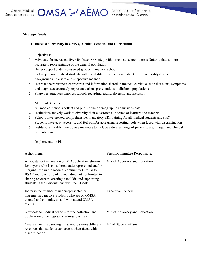

### OMSA : AÉMO Association des étudiantes

### <span id="page-6-1"></span><span id="page-6-0"></span>**Strategic Goals:**

### **1) Increased Diversity in OMSA, Medical Schools, and Curriculum**

#### Objectives:

- 1. Advocate for increased diversity (race, SES, etc.) within medical schools across Ontario, that is more accurately representative of the general population
- 2. Better support underrepresented groups in medical school
- 3. Help equip our medical students with the ability to better serve patients from incredibly diverse backgrounds, in a safe and supportive manner
- 4. Increase the robustness of research and information shared in medical curricula, such that signs, symptoms, and diagnoses accurately represent various presentations in different populations
- 5. Share best practices amongst schools regarding equity, diversity and inclusion

#### Metric of Success:

- 1. All medical schools collect and publish their demographic admissions data
- 2. Institutions actively work to diversify their classrooms, in terms of learners and teachers
- 3. Schools have created comprehensive, mandatory EDI training for all medical students and staff
- 4. Students have easy access to, and feel comfortable using reporting tools when faced with discrimination
- 5. Institutions modify their course materials to include a diverse range of patient cases, images, and clinical presentations.

Implementation Plan:

| Action Item:                                                                                                                                                                                                                                                                                                                       | Person/Committee Responsible: |
|------------------------------------------------------------------------------------------------------------------------------------------------------------------------------------------------------------------------------------------------------------------------------------------------------------------------------------|-------------------------------|
| Advocate for the creation of MD application streams<br>for anyone who is considered underrepresented and/or<br>marginalized in the medical community (similar to<br>BSAP and ISAP at UofT), including but not limited to<br>sharing resources, creating a tool kit, and supporting<br>students in their discussions with the UGME. | VPs of Advocacy and Education |
| Increase the number of underrepresented or<br>marginalized medical students who are on OMSA<br>council and committees, and who attend OMSA<br>events.                                                                                                                                                                              | Executive Council             |
| Advocate to medical schools for the collection and<br>publication of demographic admissions data                                                                                                                                                                                                                                   | VPs of Advocacy and Education |
| Create an online campaign that amalgamates different<br>resources that students can access when faced with<br>discrimination                                                                                                                                                                                                       | VP of Student Affairs         |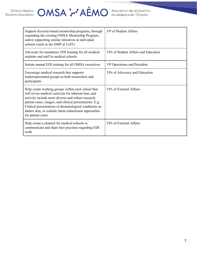## Ontario Medical **OMSA :..** AÉMO Association des étudiant e's

| Support diversity-based mentorship programs, through<br>expanding the existing OMSA Mentorship Program,<br>and/or supporting similar initiatives at individual<br>schools (such as the DMP at UofT)                                                                                                                                                                  | VP of Student Affairs                |
|----------------------------------------------------------------------------------------------------------------------------------------------------------------------------------------------------------------------------------------------------------------------------------------------------------------------------------------------------------------------|--------------------------------------|
| Advocate for mandatory EDI training for all medical<br>students and staff in medical schools                                                                                                                                                                                                                                                                         | VPs of Student Affairs and Education |
| Initiate annual EDI training for all OMSA executives                                                                                                                                                                                                                                                                                                                 | VP Operations and President          |
| Encourage medical research that supports<br>underrepresented groups as both researchers and<br>participants                                                                                                                                                                                                                                                          | VPs of Advocacy and Education        |
| Help create working groups within each school that<br>will revise medical curricula for inherent bias, and<br>actively include more diverse and robust research,<br>patient cases, images, and clinical presentations. E.g.<br>Clinical presentations of dermatological conditions on<br>darker skin, or realistic harm reductionist approaches<br>for patient cases | VPs of External Affairs              |
| Help create a channel for medical schools to<br>communicate and share best practises regarding EDI<br>work                                                                                                                                                                                                                                                           | VPs of External Affairs              |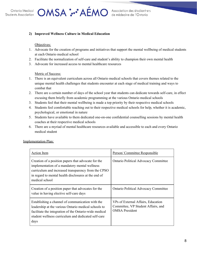OMSA : AÉMO Association des étudiantes

#### <span id="page-8-0"></span>**2) Improved Wellness Culture in Medical Education**

#### Objectives:

- 1. Advocate for the creation of programs and initiatives that support the mental wellbeing of medical students at each Ontario medical school
- 2. Facilitate the normalization of self-care and student's ability to champion their own mental health
- 3. Advocate for increased access to mental healthcare resources

#### Metric of Success:

- 1. There is an equivalent curriculum across all Ontario medical schools that covers themes related to the unique mental health challenges that students encounter at each stage of medical training and ways to combat that
- 2. There are a certain number of days of the school year that students can dedicate towards self-care, in effect excusing them briefly from academic programming at the various Ontario medical schools
- 3. Students feel that their mental wellbeing is made a top priority by their respective medical schools
- 4. Students feel comfortable reaching out to their respective medical schools for help, whether it is academic, psychological, or emotional in nature
- 5. Students have available to them dedicated one-on-one confidential counselling sessions by mental health coaches at their respective medical schools
- 6. There are a myriad of mental healthcare resources available and accessible to each and every Ontario medical student

| <b>Action Item</b>                                                                                                                                                                                                                    | Person/Committee Responsible                                                                      |
|---------------------------------------------------------------------------------------------------------------------------------------------------------------------------------------------------------------------------------------|---------------------------------------------------------------------------------------------------|
| Creation of a position papers that advocate for the<br>implementation of a mandatory mental wellness<br>curriculum and increased transparency from the CPSO<br>in regard to mental health disclosures at the end of<br>medical school | <b>Ontario Political Advocacy Committee</b>                                                       |
| Creation of a position paper that advocates for the<br>value in having elective self-care days                                                                                                                                        | <b>Ontario Political Advocacy Committee</b>                                                       |
| Establishing a channel of communication with the<br>leadership at the various Ontario medical schools to<br>facilitate the integration of the Ontario-wide medical<br>student wellness curriculum and dedicated self-care<br>days     | VPs of External Affairs, Education<br>Committee, VP Student Affairs, and<br><b>OMSA</b> President |

Implementation Plan: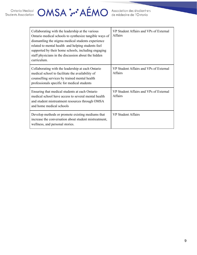## Ontario Medical **OMSA :..** AÉMO Association des étudiant e's

| Collaborating with the leadership at the various<br>Ontario medical schools to synthesize tangible ways of<br>dismantling the stigma medical students experience<br>related to mental health and helping students feel<br>supported by their home schools, including engaging<br>staff physicians in the discussion about the hidden<br>curriculum. | VP Student Affairs and VPs of External<br><b>Affairs</b> |
|-----------------------------------------------------------------------------------------------------------------------------------------------------------------------------------------------------------------------------------------------------------------------------------------------------------------------------------------------------|----------------------------------------------------------|
| Collaborating with the leadership at each Ontario<br>medical school to facilitate the availability of<br>counselling services by trained mental health<br>professionals specific for medical students                                                                                                                                               | VP Student Affairs and VPs of External<br>Affairs        |
| Ensuring that medical students at each Ontario<br>medical school have access to several mental health<br>and student mistreatment resources through OMSA<br>and home medical schools                                                                                                                                                                | VP Student Affairs and VPs of External<br><b>Affairs</b> |
| Develop methods or promote existing mediums that<br>increase the conversation about student mistreatment,<br>wellness, and personal stories.                                                                                                                                                                                                        | <b>VP Student Affairs</b>                                |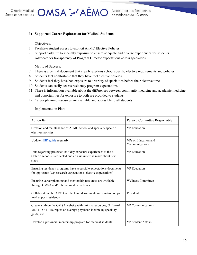OMSA : AÉMO Association des étudiantes

#### <span id="page-10-0"></span>**3) Supported Career Exploration for Medical Students**

#### Objectives:

- 1. Facilitate student access to explicit AFMC Elective Policies
- 2. Support early multi-specialty exposure to ensure adequate and diverse experiences for students
- 3. Advocate for transparency of Program Director expectations across specialties

#### Metric of Success:

- 7. There is a central document that clearly explains school specific elective requirements and policies
- 8. Students feel comfortable that they have met elective policies
- 9. Students feel they have had exposure to a variety of specialties before their elective time
- 10. Students can easily access residency program expectations
- 11. There is information available about the differences between community medicine and academic medicine, and opportunities for exposure to both are provided to students
- 12. Career planning resources are available and accessible to all students

#### Implementation Plan:

| <b>Action Item</b>                                                                                                                                 | Person/Committee Responsible           |
|----------------------------------------------------------------------------------------------------------------------------------------------------|----------------------------------------|
| Creation and maintenance of AFMC school and specialty specific<br>electives policies                                                               | <b>VP</b> Education                    |
| Update <b>HHR</b> guide regularly                                                                                                                  | VPs of Education and<br>Communications |
| Data regarding protected-half day exposure experiences at the 6<br>Ontario schools is collected and an assessment is made about next<br>steps      | <b>VP</b> Education                    |
| Ensuring residency programs have accessible expectations documents<br>for applicants (e.g. research expectations, elective expectations)           | <b>VP</b> Education                    |
| Ensuring career planning and mentorship resources are available<br>through OMSA and/or home medical schools                                        | <b>Wellness Committee</b>              |
| Collaborate with PARO to collect and disseminate information on job<br>market post-residency                                                       | President                              |
| Create a tab on the OMSA website with links to resources; O nboard<br>MD, HFO, HHR, report on average physician income by specialty<br>guide, etc. | <b>VP</b> Communications               |
| Develop a provincial mentorship program for medical students                                                                                       | <b>VP Student Affairs</b>              |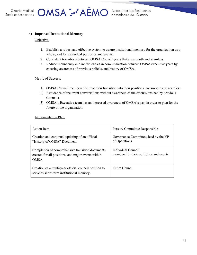

OMSA : AÉMO Association des étudiantes

#### <span id="page-11-0"></span>**4) Improved Institutional Memory**

#### Objective:

- 1. Establish a robust and effective system to assure institutional memory for the organization as a whole, and for individual portfolios and events.
- 2. Consistent transitions between OMSA Council years that are smooth and seamless.
- 3. Reduce redundancy and inefficiencies in communication between OMSA executive years by ensuring awareness of previous policies and history of OMSA.

#### Metric of Success:

- 1) OMSA Council members feel that their transition into their positions are smooth and seamless.
- 2) Avoidance of recurrent conversations without awareness of the discussions had by previous Councils.
- 3) OMSA's Executive team has an increased awareness of OMSA's past in order to plan for the future of the organization.

#### Implementation Plan:

| Action Item                                                                                                     | Person/Committee Responsible                                  |
|-----------------------------------------------------------------------------------------------------------------|---------------------------------------------------------------|
| Creation and continual updating of an official<br>"History of OMSA" Document.                                   | Governance Committee, lead by the VP<br>of Operations         |
| Completion of comprehensive transition documents<br>created for all positions, and major events within<br>OMSA. | Individual Council<br>members for their portfolios and events |
| Creation of a multi-year official council position to<br>serve as short-term institutional memory.              | Entire Council                                                |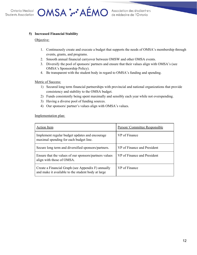OMSA :.. AÉMO Association des étudiantes

#### <span id="page-12-0"></span>**5) Increased Financial Stability**

#### Objective:

- 1. Continuously create and execute a budget that supports the needs of OMSA's membership through events, grants, and programs.
- 2. Smooth annual financial carryover between OMSW and other OMSA events.
- 3. Diversify the pool of sponsors/ partners and ensure that their values align with OMSA's (see OMSA's Sponsorship Policy).
- 4. Be transparent with the student body in regard to OMSA's funding and spending.

#### Metric of Success:

- 1) Secured long term financial partnerships with provincial and national organizations that provide consistency and stability to the OMSA budget.
- 2) Funds consistently being spent maximally and sensibly each year while not overspending.
- 3) Having a diverse pool of funding sources.
- 4) Our sponsors/ partner's values align with OMSA's values.

Implementation plan:

| Action Item                                                                                              | Person/Committee Responsible |
|----------------------------------------------------------------------------------------------------------|------------------------------|
| Implement regular budget updates and encourage<br>maximal spending for each budget line.                 | VP of Finance                |
| Secure long term and diversified sponsors/partners.                                                      | VP of Finance and President  |
| Ensure that the values of our sponsors/partners values<br>align with those of OMSA.                      | VP of Finance and President  |
| Create a Financial Graph (see Appendix F) annually<br>and make it available to the student body at large | VP of Finance                |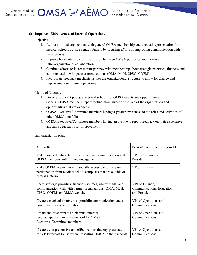OMSA : AÉMO Association des étudiantes

#### <span id="page-13-0"></span>**6) Improved Effectiveness of Internal Operations**

#### Objective:

- 1. Address limited engagement with general OMSA membership and unequal representation from medical schools outside central Ontario by focusing efforts on improving communication with these groups
- 2. Improve horizontal flow of information between OMSA portfolios and increase intra-organizational collaboration
- 3. Continue efforts to increase transparency with membership about strategic priorities, finances and communication with partner organizations (OMA, MoH, CPSO, COFM)
- 4. Incorporate feedback mechanisms into the organizational structure to allow for change and improvement in internal operations

Metric of Success:

- 1. Diverse applicant pool (re: medical school) for OMSA events and opportunities
- 2. General OMSA members report feeling more aware of the role of the organization and opportunities that are available
- 3. OMSA Executive/Committee members having a greater awareness of the roles and activities of other OMSA portfolios
- 4. OMSA Executive/Committee members having an avenue to report feedback on their experience and any suggestions for improvement

Implementation plan:

| <b>Action Item</b>                                                                                                                            | Person/Committee Responsible            |
|-----------------------------------------------------------------------------------------------------------------------------------------------|-----------------------------------------|
| Make targeted outreach efforts to increase communication with                                                                                 | VP of Communications,                   |
| OMSA members with limited engagement                                                                                                          | President                               |
| Make OMSA events more financially accessible to increase<br>participation from medical school campuses that are outside of<br>central Ontario | VP of Finance                           |
| Share strategic priorities, finances (sources, use of funds) and                                                                              | VPs of Finance,                         |
| communication with with partner organizations (OMA, MoH,                                                                                      | Communications, Education,              |
| CPSO, COFM) on OMSA website                                                                                                                   | and President                           |
| Create a mechanism for cross-portfolio communication and a                                                                                    | VPs of Operations and                   |
| horizontal flow of information                                                                                                                | Communications                          |
| Create and disseminate an biannual internal<br>feedback/performance review tool for OMSA<br>Executive/Committee members                       | VPs of Operations and<br>Communications |
| Create a comprehensive and effective introductory presentation                                                                                | VPs of Operations and                   |
| for VP Externals to use when presenting OMSA to their schools.                                                                                | Communications                          |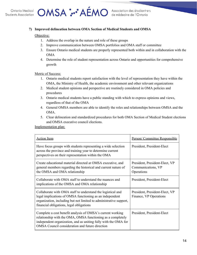

OMSA : AÉMO Association des étudiantes

#### <span id="page-14-0"></span>**7) Improved delineation between OMA Section of Medical Students and OMSA**

#### Objective:

- 1. Address the overlap in the nature and role of these groups
- 2. Improve communication between OMSA portfolios and OMA staff or committee
- 3. Ensure Ontario medical students are properly represented both within and in collaboration with the OMA
- 4. Determine the role of student representation across Ontario and opportunities for comprehensive growth

#### Metric of Success:

- 1. Ontario medical students report satisfaction with the level of representation they have within the OMA, the Ministry of Health, the academic environment and other relevant organizations
- 2. Medical student opinions and perspective are routinely considered in OMA policies and procedures
- 3. Ontario medical students have a public standing with which to express opinions and views, regardless of that of the OMA
- 4. General OMSA members are able to identify the roles and relationships between OMSA and the OMA.
- 5. Clear delineation and standardized procedures for both OMA Section of Medical Student elections and OMSA executive council elections.

Implementation plan:

| <b>Action Item</b>                                                                                                                                                                                                                              | Person/Committee Responsible                                       |
|-------------------------------------------------------------------------------------------------------------------------------------------------------------------------------------------------------------------------------------------------|--------------------------------------------------------------------|
| Have focus groups with students representing a wide selection<br>across the province and training year to determine current<br>perspectives on their representation within the OMA                                                              | President, President-Elect                                         |
| Create educational material directed at OMSA executive, and<br>general members regarding the historical and current nature of<br>the OMSA and OMA relationship                                                                                  | President, President-Elect, VP<br>Communications, VP<br>Operations |
| Collaborate with OMA staff to understand the nuances and<br>implications of the OMSA and OMA relationship                                                                                                                                       | President, President-Elect                                         |
| Collaborate with OMA staff to understand the logistical and<br>legal implications of OMSA functioning as an independent<br>organization, including but not limited to administrative support,<br>financial obligations, legal obligations       | President, President-Elect, VP<br>Finance, VP Operations           |
| Complete a cost benefit analysis of OMSA's current working<br>relationship with the OMA, OMSA functioning as a completely<br>independent organization, and as uniting fully with the OMA for<br>OMSA Council consideration and future direction | President, President-Elect                                         |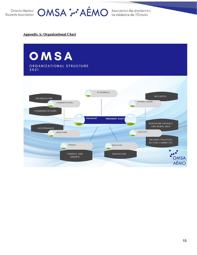

### Ontario Medical **OMSA :..** AÉMO Association des étudiant e<sup>-s</sup>

#### <span id="page-15-0"></span>**Appendix A: Organizational Chart**

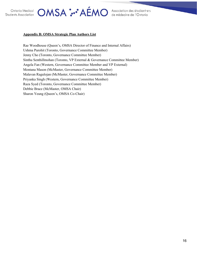### OMSA :.. AÉMO Association des étudiantres

#### **Appendix B: OMSA Strategic Plan Authors List**

Rae Woodhouse (Queen's, OMSA Director of Finance and Internal Affairs) Ushma Purohit (Toronto, Governance Committee Member) Jenny Cho (Toronto, Governance Committee Member) Sinthu Senthillmohan (Toronto, VP External & Governance Committee Member) Angela Fan (Western, Governance Committee Member and VP External) Montana Mason (McMaster, Governance Committee Member) Malavan Ragulojan (McMaster, Governance Committee Member) Priyanka Singh (Western, Governance Committee Member) Raza Syed (Toronto, Governance Committee Member) Debbie Brace (McMaster, OMSA Chair) Sharon Yeung (Queen's, OMSA Co-Chair)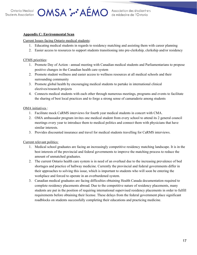### OMSA :..• AEMO Association des étudiantes

#### <span id="page-17-0"></span>**Appendix C: Environmental Scan**

Current Issues facing Ontario medical students:

- 1. Educating medical students in regards to residency matching and assisting them with career planning
- 2. Easier access to resources to support students transitioning into pre-clerkship, clerkship and/or residency

#### CFMS priorities:

- 1. Promote Day of Action annual meeting with Canadian medical students and Parliamentarians to propose positive changes in the Canadian health care system
- 2. Promote student wellness and easier access to wellness resources at all medical schools and their surrounding community
- 3. Promote global health by encouraging medical students to partake in international clinical electives/research projects
- 4. Connects medical students with each other through numerous meetings, programs and events to facilitate the sharing of best local practices and to forge a strong sense of camaraderie among students

#### OMA initiatives :

- 1. Facilitate mock CaRMS interviews for fourth year medical students in concert with CMA.
- 2. OMA ambassador program invites one medical student from every school to attend its 2 general council meetings every year to introduce them to medical politics and connect them with physicians that have similar interests.
- 3. Provides discounted insurance and travel for medical students travelling for CaRMS interviews.

Current relevant politics:

- 1. Medical school graduates are facing an increasingly competitive residency matching landscape. It is in the best interests of the provincial and federal governments to improve the matching process to reduce the amount of unmatched graduates.
- 2. The current Ontario health care system is in need of an overhaul due to the increasing prevalence of bed shortages and practice of hallway medicine. Currently the provincial and federal governments differ in their approaches to solving this issue, which is important to students who will soon be entering the workplace and forced to operate in an overburdened system.
- 3. Canadian medical graduates are facing difficulties obtaining Health Canada documentation required to complete residency placements abroad. Due to the competitive nature of residency placements, many students are put in the position of requiring international supervised residency placements in order to fulfill requirements before obtaining their license. These delays from the federal government place significant roadblocks on students successfully completing their educations and practicing medicine.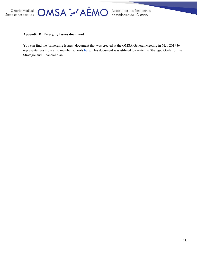OMSA :.. AÉMO Association des étudiantes

### <span id="page-18-0"></span>**Appendix D: Emerging Issues document**

You can find the "Emerging Issues" document that was created at the OMSA General Meeting in May 2019 by representatives from all 6 member schools [here](https://docs.google.com/spreadsheets/d/1vJg_XIFOwHIJOb7ARbhi_xj5Fv-086-BsbI1H5t1TaY/edit#gid=0). This document was utilized to create the Strategic Goals for this Strategic and Financial plan.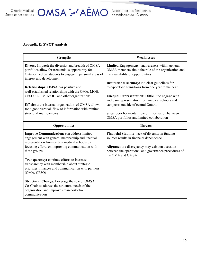

### <span id="page-19-0"></span>**Appendix E: SWOT Analysis**

| <b>Strengths</b>                                                                                                                                                                                                          | <b>Weaknesses</b>                                                                                                                                                                                      |
|---------------------------------------------------------------------------------------------------------------------------------------------------------------------------------------------------------------------------|--------------------------------------------------------------------------------------------------------------------------------------------------------------------------------------------------------|
| Diverse Impact: the diversity and breadth of OMSA<br>portfolios allow for tremendous opportunity for<br>Ontario medical students to engage in personal areas of<br>interest and development                               | Limited Engagement: unawareness within general<br>OMSA members about the role of the organization and<br>the availability of opportunities                                                             |
| <b>Relationships:</b> OMSA has positive and<br>well-established relationships with the OMA, MOH,                                                                                                                          | <b>Institutional Memory:</b> No clear guidelines for<br>role/portfolio transitions from one year to the next                                                                                           |
| CPSO, COFM, MOH, and other organizations<br>Efficient: the internal organization of OMSA allows                                                                                                                           | Unequal Representation: Difficult to engage with<br>and gain representation from medical schools and<br>campuses outside of central Ontario                                                            |
| for a good vertical flow of information with minimal<br>structural inefficiencies                                                                                                                                         | Silos: poor horizontal flow of information between<br>OMSA portfolios and limited collaboration                                                                                                        |
| Opportunities                                                                                                                                                                                                             | <b>Threats</b>                                                                                                                                                                                         |
| <b>Improve Communication: can address limited</b><br>engagement with general membership and unequal<br>representation from certain medical schools by<br>focusing efforts on improving communication with<br>these groups | Financial Stability: lack of diversity in funding<br>sources results in financial dependence<br>Alignment: a discrepancy may exist on occasion<br>between the operational and governance procedures of |
| Transparency: continue efforts to increase<br>transparency with membership about strategic<br>priorities, finances and communication with partners<br>(OMA, CPSO)                                                         | the OMA and OMSA                                                                                                                                                                                       |
| Structural Change: Leverage the role of OMSA<br>Co-Chair to address the structural needs of the<br>organization and improve cross-portfolio<br>communication                                                              |                                                                                                                                                                                                        |